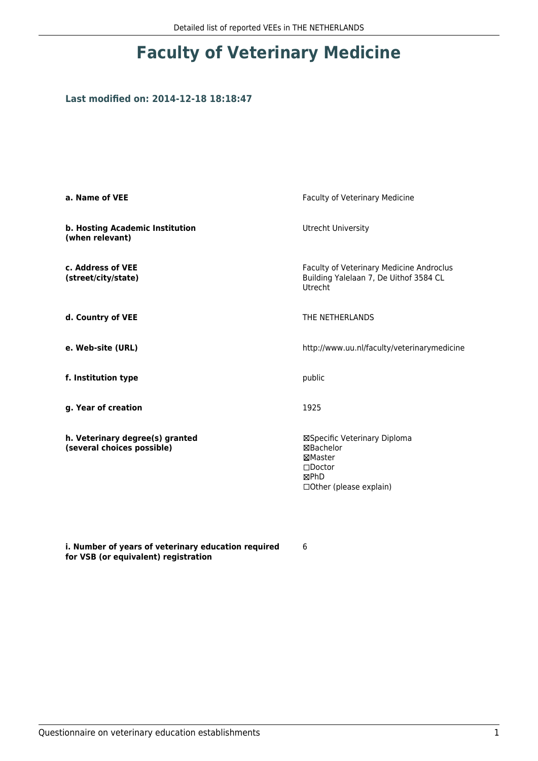## **Faculty of Veterinary Medicine**

## **Last modified on: 2014-12-18 18:18:47**

| a. Name of VEE                                                | Faculty of Veterinary Medicine                                                                                      |  |
|---------------------------------------------------------------|---------------------------------------------------------------------------------------------------------------------|--|
| b. Hosting Academic Institution<br>(when relevant)            | Utrecht University                                                                                                  |  |
| c. Address of VEE<br>(street/city/state)                      | Faculty of Veterinary Medicine Androclus<br>Building Yalelaan 7, De Uithof 3584 CL<br>Utrecht                       |  |
| d. Country of VEE                                             | THE NETHERLANDS                                                                                                     |  |
| e. Web-site (URL)                                             | http://www.uu.nl/faculty/veterinarymedicine                                                                         |  |
| f. Institution type                                           | public                                                                                                              |  |
| g. Year of creation                                           | 1925                                                                                                                |  |
| h. Veterinary degree(s) granted<br>(several choices possible) | ⊠Specific Veterinary Diploma<br>⊠Bachelor<br>⊠Master<br>$\square$ Doctor<br><b>MPhD</b><br>□ Other (please explain) |  |

**i. Number of years of veterinary education required for VSB (or equivalent) registration**

6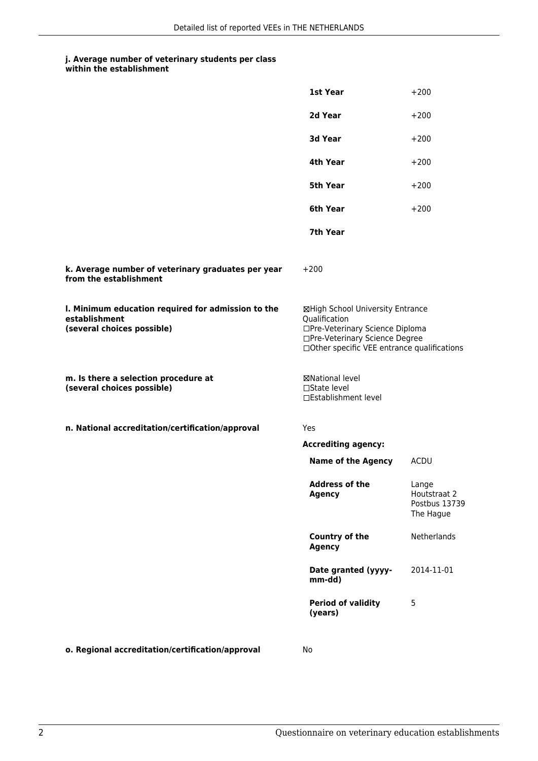## **j. Average number of veterinary students per class**

|                                                                                                   | 1st Year                                                                                                                                                              | $+200$                                              |
|---------------------------------------------------------------------------------------------------|-----------------------------------------------------------------------------------------------------------------------------------------------------------------------|-----------------------------------------------------|
|                                                                                                   | 2d Year                                                                                                                                                               | $+200$                                              |
|                                                                                                   | 3d Year                                                                                                                                                               | $+200$                                              |
|                                                                                                   | 4th Year                                                                                                                                                              | $+200$                                              |
|                                                                                                   | 5th Year                                                                                                                                                              | $+200$                                              |
|                                                                                                   | 6th Year                                                                                                                                                              | $+200$                                              |
|                                                                                                   | 7th Year                                                                                                                                                              |                                                     |
| k. Average number of veterinary graduates per year<br>from the establishment                      | $+200$                                                                                                                                                                |                                                     |
| I. Minimum education required for admission to the<br>establishment<br>(several choices possible) | ⊠High School University Entrance<br>Qualification<br>□Pre-Veterinary Science Diploma<br>□Pre-Veterinary Science Degree<br>□Other specific VEE entrance qualifications |                                                     |
| m. Is there a selection procedure at<br>(several choices possible)                                | ⊠National level<br>$\square$ State level<br>□Establishment level                                                                                                      |                                                     |
| n. National accreditation/certification/approval                                                  | <b>Yes</b>                                                                                                                                                            |                                                     |
|                                                                                                   | <b>Accrediting agency:</b>                                                                                                                                            |                                                     |
|                                                                                                   | <b>Name of the Agency</b>                                                                                                                                             | <b>ACDU</b>                                         |
|                                                                                                   | Address of the<br><b>Agency</b>                                                                                                                                       | Lange<br>Houtstraat 2<br>Postbus 13739<br>The Hague |
|                                                                                                   | <b>Country of the</b><br><b>Agency</b>                                                                                                                                | Netherlands                                         |
|                                                                                                   | Date granted (yyyy-<br>mm-dd)                                                                                                                                         | 2014-11-01                                          |
|                                                                                                   | <b>Period of validity</b><br>(years)                                                                                                                                  | 5                                                   |
| o. Regional accreditation/certification/approval                                                  | No                                                                                                                                                                    |                                                     |